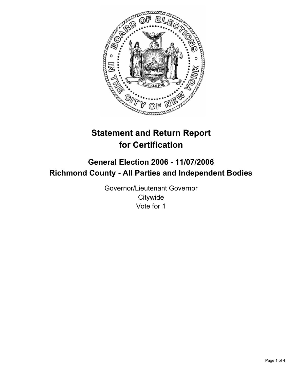

# **Statement and Return Report for Certification**

## **General Election 2006 - 11/07/2006 Richmond County - All Parties and Independent Bodies**

Governor/Lieutenant Governor **Citywide** Vote for 1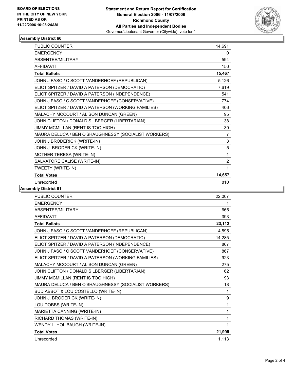

### **Assembly District 60**

| <b>PUBLIC COUNTER</b>                                | 14,691                    |
|------------------------------------------------------|---------------------------|
| <b>EMERGENCY</b>                                     | 0                         |
| ABSENTEE/MILITARY                                    | 594                       |
| <b>AFFIDAVIT</b>                                     | 156                       |
| <b>Total Ballots</b>                                 | 15,467                    |
| JOHN J FASO / C SCOTT VANDERHOEF (REPUBLICAN)        | 5,126                     |
| ELIOT SPITZER / DAVID A PATERSON (DEMOCRATIC)        | 7,619                     |
| ELIOT SPITZER / DAVID A PATERSON (INDEPENDENCE)      | 541                       |
| JOHN J FASO / C SCOTT VANDERHOEF (CONSERVATIVE)      | 774                       |
| ELIOT SPITZER / DAVID A PATERSON (WORKING FAMILIES)  | 406                       |
| MALACHY MCCOURT / ALISON DUNCAN (GREEN)              | 95                        |
| JOHN CLIFTON / DONALD SILBERGER (LIBERTARIAN)        | 38                        |
| JIMMY MCMILLAN (RENT IS TOO HIGH)                    | 39                        |
| MAURA DELUCA / BEN O'SHAUGHNESSY (SOCIALIST WORKERS) | $\overline{7}$            |
| JOHN J BRODERICK (WRITE-IN)                          | $\ensuremath{\mathsf{3}}$ |
| JOHN J. BRODERICK (WRITE-IN)                         | 5                         |
| MOTHER TERESA (WRITE-IN)                             | 1                         |
| SALVATORE CALISE (WRITE-IN)                          | $\overline{2}$            |
| TWEETY (WRITE-IN)                                    | 1                         |
| <b>Total Votes</b>                                   | 14,657                    |
| Unrecorded                                           | 810                       |

**Assembly District 61**

| PUBLIC COUNTER                                       | 22,007 |
|------------------------------------------------------|--------|
| <b>EMERGENCY</b>                                     |        |
| <b>ABSENTEE/MILITARY</b>                             | 665    |
| <b>AFFIDAVIT</b>                                     | 393    |
| <b>Total Ballots</b>                                 | 23,112 |
| JOHN J FASO / C SCOTT VANDERHOEF (REPUBLICAN)        | 4,595  |
| ELIOT SPITZER / DAVID A PATERSON (DEMOCRATIC)        | 14,285 |
| ELIOT SPITZER / DAVID A PATERSON (INDEPENDENCE)      | 867    |
| JOHN J FASO / C SCOTT VANDERHOEF (CONSERVATIVE)      | 867    |
| ELIOT SPITZER / DAVID A PATERSON (WORKING FAMILIES)  | 923    |
| MALACHY MCCOURT / ALISON DUNCAN (GREEN)              | 275    |
| JOHN CLIFTON / DONALD SILBERGER (LIBERTARIAN)        | 62     |
| JIMMY MCMILLAN (RENT IS TOO HIGH)                    | 93     |
| MAURA DELUCA / BEN O'SHAUGHNESSY (SOCIALIST WORKERS) | 18     |
| BUD ABBOT & LOU COSTELLO (WRITE-IN)                  | 1      |
| JOHN J. BRODERICK (WRITE-IN)                         | 9      |
| LOU DOBBS (WRITE-IN)                                 | 1      |
| MARIETTA CANNING (WRITE-IN)                          | 1      |
| RICHARD THOMAS (WRITE-IN)                            | 1      |
| WENDY L. HOLIBAUGH (WRITE-IN)                        | 1      |
| <b>Total Votes</b>                                   | 21,999 |
| Unrecorded                                           | 1,113  |
|                                                      |        |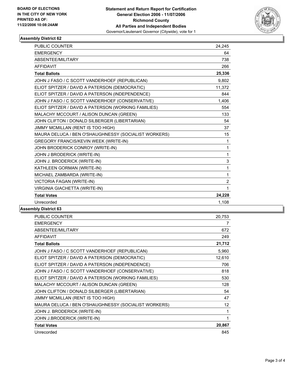

### **Assembly District 62**

| <b>PUBLIC COUNTER</b>                                | 24,245                    |
|------------------------------------------------------|---------------------------|
| <b>EMERGENCY</b>                                     | 64                        |
| ABSENTEE/MILITARY                                    | 738                       |
| <b>AFFIDAVIT</b>                                     | 266                       |
| <b>Total Ballots</b>                                 | 25,336                    |
| JOHN J FASO / C SCOTT VANDERHOEF (REPUBLICAN)        | 9,802                     |
| ELIOT SPITZER / DAVID A PATERSON (DEMOCRATIC)        | 11,372                    |
| ELIOT SPITZER / DAVID A PATERSON (INDEPENDENCE)      | 844                       |
| JOHN J FASO / C SCOTT VANDERHOEF (CONSERVATIVE)      | 1,406                     |
| ELIOT SPITZER / DAVID A PATERSON (WORKING FAMILIES)  | 554                       |
| MALACHY MCCOURT / ALISON DUNCAN (GREEN)              | 133                       |
| JOHN CLIFTON / DONALD SILBERGER (LIBERTARIAN)        | 54                        |
| JIMMY MCMILLAN (RENT IS TOO HIGH)                    | 37                        |
| MAURA DELUCA / BEN O'SHAUGHNESSY (SOCIALIST WORKERS) | 15                        |
| GREGORY FRANCIS/KEVIN WEEK (WRITE-IN)                | 1                         |
| JOHN BRODERICK CONROY (WRITE-IN)                     | 1                         |
| JOHN J BRODERICK (WRITE-IN)                          | 1                         |
| JOHN J. BRODERICK (WRITE-IN)                         | $\ensuremath{\mathsf{3}}$ |
| KATHLEEN GORMAN (WRITE-IN)                           | 1                         |
| MICHAEL ZAMBARDA (WRITE-IN)                          | 1                         |
| VICTORIA FAGAN (WRITE-IN)                            | $\overline{c}$            |
| VIRGINIA GIACHETTA (WRITE-IN)                        | 1                         |
| <b>Total Votes</b>                                   | 24,228                    |
| Unrecorded                                           | 1,108                     |
|                                                      |                           |

#### **Assembly District 63**

| 20,753 |
|--------|
| 7      |
| 672    |
| 249    |
| 21,712 |
| 5,960  |
| 12,610 |
| 706    |
| 818    |
| 530    |
| 128    |
| 54     |
| 47     |
| 12     |
| 1      |
|        |
| 20,867 |
| 845    |
|        |